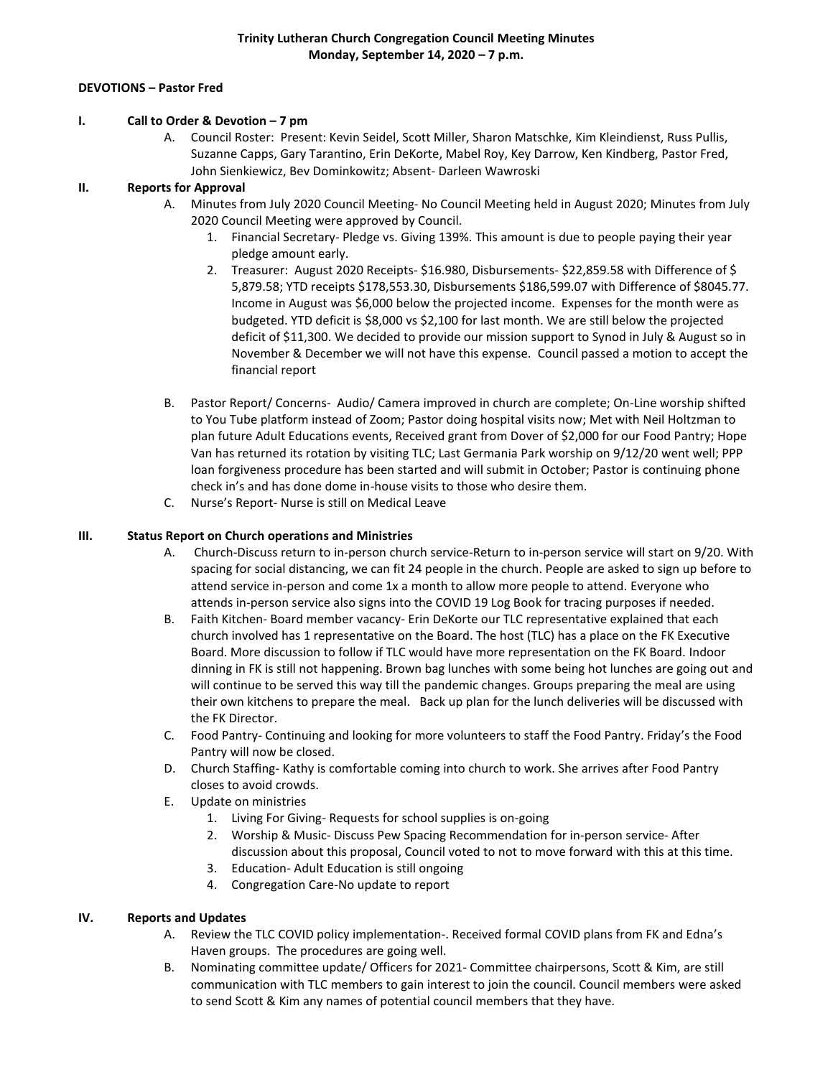## **DEVOTIONS – Pastor Fred**

#### **I. Call to Order & Devotion – 7 pm**

A. Council Roster: Present: Kevin Seidel, Scott Miller, Sharon Matschke, Kim Kleindienst, Russ Pullis, Suzanne Capps, Gary Tarantino, Erin DeKorte, Mabel Roy, Key Darrow, Ken Kindberg, Pastor Fred, John Sienkiewicz, Bev Dominkowitz; Absent- Darleen Wawroski

# **II. Reports for Approval**

- A. Minutes from July 2020 Council Meeting- No Council Meeting held in August 2020; Minutes from July 2020 Council Meeting were approved by Council.
	- 1. Financial Secretary- Pledge vs. Giving 139%. This amount is due to people paying their year pledge amount early.
	- 2. Treasurer: August 2020 Receipts- \$16.980, Disbursements- \$22,859.58 with Difference of \$ 5,879.58; YTD receipts \$178,553.30, Disbursements \$186,599.07 with Difference of \$8045.77. Income in August was \$6,000 below the projected income. Expenses for the month were as budgeted. YTD deficit is \$8,000 vs \$2,100 for last month. We are still below the projected deficit of \$11,300. We decided to provide our mission support to Synod in July & August so in November & December we will not have this expense. Council passed a motion to accept the financial report
- B. Pastor Report/ Concerns- Audio/ Camera improved in church are complete; On-Line worship shifted to You Tube platform instead of Zoom; Pastor doing hospital visits now; Met with Neil Holtzman to plan future Adult Educations events, Received grant from Dover of \$2,000 for our Food Pantry; Hope Van has returned its rotation by visiting TLC; Last Germania Park worship on 9/12/20 went well; PPP loan forgiveness procedure has been started and will submit in October; Pastor is continuing phone check in's and has done dome in-house visits to those who desire them.
- C. Nurse's Report- Nurse is still on Medical Leave

### **III. Status Report on Church operations and Ministries**

- A. Church-Discuss return to in-person church service-Return to in-person service will start on 9/20. With spacing for social distancing, we can fit 24 people in the church. People are asked to sign up before to attend service in-person and come 1x a month to allow more people to attend. Everyone who attends in-person service also signs into the COVID 19 Log Book for tracing purposes if needed.
- B. Faith Kitchen- Board member vacancy- Erin DeKorte our TLC representative explained that each church involved has 1 representative on the Board. The host (TLC) has a place on the FK Executive Board. More discussion to follow if TLC would have more representation on the FK Board. Indoor dinning in FK is still not happening. Brown bag lunches with some being hot lunches are going out and will continue to be served this way till the pandemic changes. Groups preparing the meal are using their own kitchens to prepare the meal. Back up plan for the lunch deliveries will be discussed with the FK Director.
- C. Food Pantry- Continuing and looking for more volunteers to staff the Food Pantry. Friday's the Food Pantry will now be closed.
- D. Church Staffing- Kathy is comfortable coming into church to work. She arrives after Food Pantry closes to avoid crowds.
- E. Update on ministries
	- 1. Living For Giving- Requests for school supplies is on-going
	- 2. Worship & Music- Discuss Pew Spacing Recommendation for in-person service- After discussion about this proposal, Council voted to not to move forward with this at this time.
	- 3. Education- Adult Education is still ongoing
	- 4. Congregation Care-No update to report

## **IV. Reports and Updates**

- A. Review the TLC COVID policy implementation-. Received formal COVID plans from FK and Edna's Haven groups. The procedures are going well.
- B. Nominating committee update/ Officers for 2021- Committee chairpersons, Scott & Kim, are still communication with TLC members to gain interest to join the council. Council members were asked to send Scott & Kim any names of potential council members that they have.